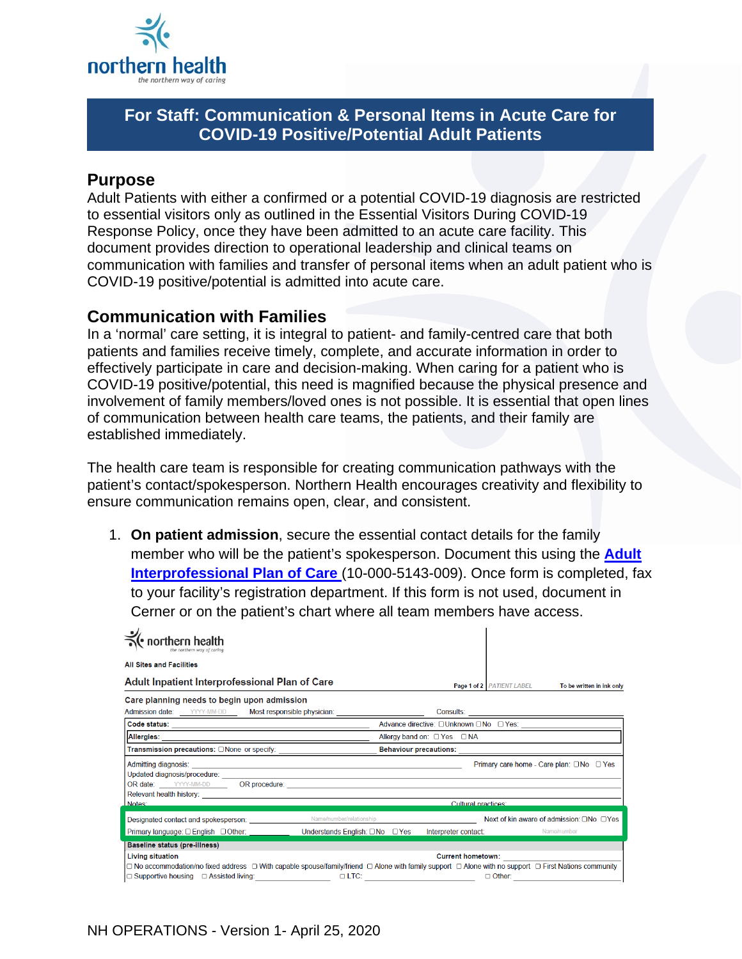

# **For Staff: Communication & Personal Items in Acute Care for COVID-19 Positive/Potential Adult Patients**

#### **Purpose**

Adult Patients with either a confirmed or a potential COVID-19 diagnosis are restricted to essential visitors only as outlined in the Essential Visitors During COVID-19 Response Policy, once they have been admitted to an acute care facility. This document provides direction to operational leadership and clinical teams on communication with families and transfer of personal items when an adult patient who is COVID-19 positive/potential is admitted into acute care.

### **Communication with Families**

In a 'normal' care setting, it is integral to patient- and family-centred care that both patients and families receive timely, complete, and accurate information in order to effectively participate in care and decision-making. When caring for a patient who is COVID-19 positive/potential, this need is magnified because the physical presence and involvement of family members/loved ones is not possible. It is essential that open lines of communication between health care teams, the patients, and their family are established immediately.

The health care team is responsible for creating communication pathways with the patient's contact/spokesperson. Northern Health encourages creativity and flexibility to ensure communication remains open, clear, and consistent.

1. **On patient admission**, secure the essential contact details for the family member who will be the patient's spokesperson. Document this using the **[Adult](http://docushare.northernhealth.ca/docushare/dsweb/Get/Document-167543/10-000-5143-009.pdf)  [Interprofessional Plan of Care](http://docushare.northernhealth.ca/docushare/dsweb/Get/Document-167543/10-000-5143-009.pdf)** (10-000-5143-009). Once form is completed, fax to your facility's registration department. If this form is not used, document in Cerner or on the patient's chart where all team members have access.

| rthern health                                                                                                                                |                                                                                                                      |
|----------------------------------------------------------------------------------------------------------------------------------------------|----------------------------------------------------------------------------------------------------------------------|
| <b>All Sites and Facilities</b>                                                                                                              |                                                                                                                      |
| Adult Inpatient Interprofessional Plan of Care                                                                                               | Page 1 of 2 PATIENT LABEL<br>To be written in ink only                                                               |
| Care planning needs to begin upon admission<br>Admission date: YYYY-MM-DD Most responsible physician:                                        |                                                                                                                      |
|                                                                                                                                              | Advance directive: □Unknown □No □ Yes:                                                                               |
|                                                                                                                                              | Allergy band on: □ Yes □ NA                                                                                          |
| Transmission precautions: ONone or specify:                                                                                                  |                                                                                                                      |
| Updated diagnosis/procedure: ________________                                                                                                | Primary care home - Care plan: $\square$ No $\square$ Yes<br><u> 1989 - Johann Stein, fransk politiker (d. 1989)</u> |
|                                                                                                                                              |                                                                                                                      |
| Notes:                                                                                                                                       | Cultural practices:                                                                                                  |
| <b>Designated contact and spokesperson:</b> Name/number/relationship<br>Primary language: □ English □ Other: Understands English: □ No □ Yes | Next of kin aware of admission: □No □Yes<br>Interpreter contact: Name/number                                         |
| Baseline status (pre-illness)                                                                                                                |                                                                                                                      |
| <b>Living situation</b>                                                                                                                      | <b>Current hometown:</b>                                                                                             |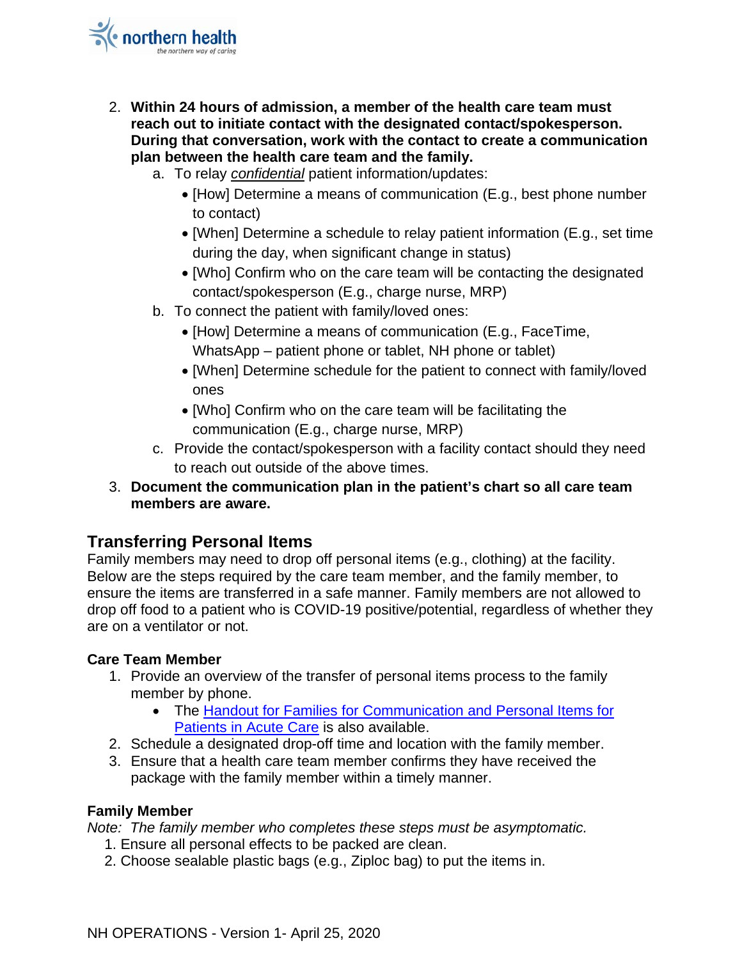- 2. **Within 24 hours of admission, a member of the health care team must reach out to initiate contact with the designated contact/spokesperson. During that conversation, work with the contact to create a communication plan between the health care team and the family.** 
	- a. To relay *confidential* patient information/updates:
		- [How] Determine a means of communication (E.g., best phone number to contact)
		- [When] Determine a schedule to relay patient information (E.g., set time during the day, when significant change in status)
		- [Who] Confirm who on the care team will be contacting the designated contact/spokesperson (E.g., charge nurse, MRP)
	- b. To connect the patient with family/loved ones:
		- [How] Determine a means of communication (E.g., FaceTime, WhatsApp – patient phone or tablet, NH phone or tablet)
		- [When] Determine schedule for the patient to connect with family/loved ones
		- [Who] Confirm who on the care team will be facilitating the communication (E.g., charge nurse, MRP)
	- c. Provide the contact/spokesperson with a facility contact should they need to reach out outside of the above times.
- 3. **Document the communication plan in the patient's chart so all care team members are aware.**

# **Transferring Personal Items**

Family members may need to drop off personal items (e.g., clothing) at the facility. Below are the steps required by the care team member, and the family member, to ensure the items are transferred in a safe manner. Family members are not allowed to drop off food to a patient who is COVID-19 positive/potential, regardless of whether they are on a ventilator or not.

### **Care Team Member**

- 1. Provide an overview of the transfer of personal items process to the family member by phone.
	- The Handout [for Families for Communication and Personal Items for](https://ournh.northernhealth.ca/oursites/communications/OurNH%20Communications%20Documents/families-communication-and-personal-items-for-patients-in-acute-care.pdf)  [Patients in Acute Care](https://ournh.northernhealth.ca/oursites/communications/OurNH%20Communications%20Documents/families-communication-and-personal-items-for-patients-in-acute-care.pdf) is also available.
- 2. Schedule a designated drop-off time and location with the family member.
- 3. Ensure that a health care team member confirms they have received the package with the family member within a timely manner.

### **Family Member**

*Note: The family member who completes these steps must be asymptomatic.*

- 1. Ensure all personal effects to be packed are clean.
- 2. Choose sealable plastic bags (e.g., Ziploc bag) to put the items in.